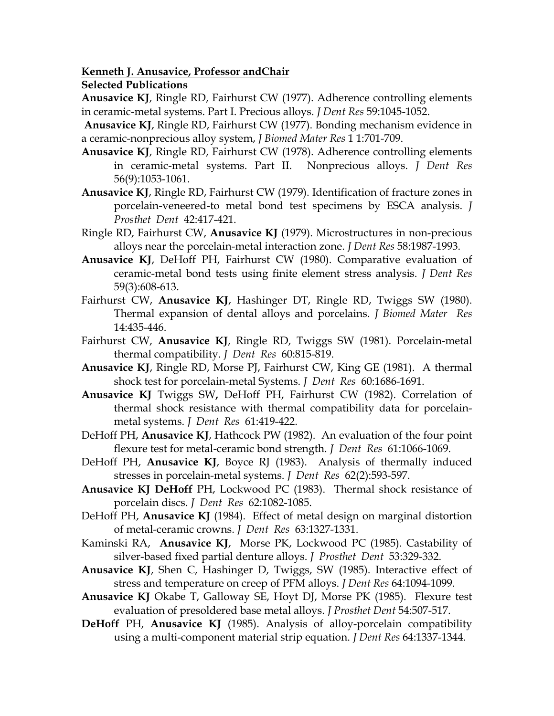**Kenneth J. Anusavice, Professor andChair**

**Selected Publications** 

**Anusavice KJ**, Ringle RD, Fairhurst CW (1977). Adherence controlling elements in ceramic-metal systems. Part I. Precious alloys. *J Dent Res* 59:1045-1052.

 **Anusavice KJ**, Ringle RD, Fairhurst CW (1977). Bonding mechanism evidence in a ceramic-nonprecious alloy system, *J Biomed Mater Res* 1 1:701-709.

- **Anusavice KJ**, Ringle RD, Fairhurst CW (1978). Adherence controlling elements in ceramic-metal systems. Part II. Nonprecious alloys. *J Dent Res* 56(9):1053-1061.
- **Anusavice KJ**, Ringle RD, Fairhurst CW (1979). Identification of fracture zones in porcelain-veneered-to metal bond test specimens by ESCA analysis. *J Prosthet Dent* 42:417-421.
- Ringle RD, Fairhurst CW, **Anusavice KJ** (1979). Microstructures in non-precious alloys near the porcelain-metal interaction zone. *J Dent Res* 58:1987-1993.
- **Anusavice KJ**, DeHoff PH, Fairhurst CW (1980). Comparative evaluation of ceramic-metal bond tests using finite element stress analysis. *J Dent Res* 59(3):608-613.
- Fairhurst CW, **Anusavice KJ**, Hashinger DT, Ringle RD, Twiggs SW (1980). Thermal expansion of dental alloys and porcelains. *J Biomed Mater Res* 14:435-446.
- Fairhurst CW, **Anusavice KJ**, Ringle RD, Twiggs SW (1981). Porcelain-metal thermal compatibility. *J Dent Res* 60:815-819.
- **Anusavice KJ**, Ringle RD, Morse PJ, Fairhurst CW, King GE (1981). A thermal shock test for porcelain-metal Systems. *J Dent Res* 60:1686-1691.
- **Anusavice KJ** Twiggs SW**,** DeHoff PH, Fairhurst CW (1982). Correlation of thermal shock resistance with thermal compatibility data for porcelainmetal systems. *J Dent Res* 61:419-422.
- DeHoff PH, **Anusavice KJ**, Hathcock PW (1982). An evaluation of the four point flexure test for metal-ceramic bond strength. *J Dent Res* 61:1066-1069.
- DeHoff PH, **Anusavice KJ**, Boyce RJ (1983). Analysis of thermally induced stresses in porcelain-metal systems. *J Dent Res* 62(2):593-597.
- **Anusavice KJ DeHoff** PH, Lockwood PC (1983). Thermal shock resistance of porcelain discs. *J Dent Res* 62:1082-1085.
- DeHoff PH, **Anusavice KJ** (1984). Effect of metal design on marginal distortion of metal-ceramic crowns. *J Dent Res* 63:1327-1331.
- Kaminski RA, **Anusavice KJ**, Morse PK, Lockwood PC (1985). Castability of silver-based fixed partial denture alloys. *J Prosthet Dent* 53:329-332.
- **Anusavice KJ**, Shen C, Hashinger D, Twiggs, SW (1985). Interactive effect of stress and temperature on creep of PFM alloys. *J Dent Res* 64:1094-1099.
- **Anusavice KJ** Okabe T, Galloway SE, Hoyt DJ, Morse PK (1985). Flexure test evaluation of presoldered base metal alloys. *J Prosthet Dent* 54:507-517.
- **DeHoff** PH, **Anusavice KJ** (1985). Analysis of alloy-porcelain compatibility using a multi-component material strip equation. *J Dent Res* 64:1337-1344.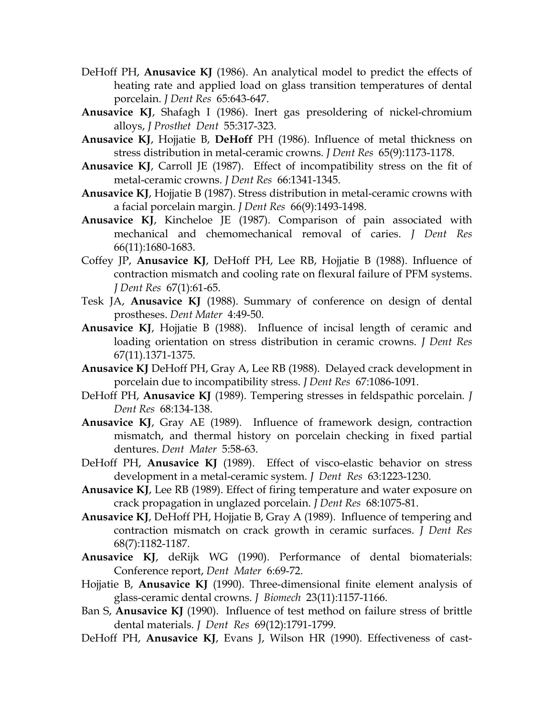- DeHoff PH, **Anusavice KJ** (1986). An analytical model to predict the effects of heating rate and applied load on glass transition temperatures of dental porcelain. *J Dent Res* 65:643-647.
- **Anusavice KJ**, Shafagh I (1986). Inert gas presoldering of nickel-chromium alloys, *J Prosthet Dent* 55:317-323.
- **Anusavice KJ**, Hojjatie B, **DeHoff** PH (1986). Influence of metal thickness on stress distribution in metal-ceramic crowns. *J Dent Res* 65(9):1173-1178.
- **Anusavice KJ**, Carroll JE (1987). Effect of incompatibility stress on the fit of metal-ceramic crowns. *J Dent Res* 66:1341-1345.
- **Anusavice KJ**, Hojjatie B (1987). Stress distribution in metal-ceramic crowns with a facial porcelain margin. *J Dent Res* 66(9):1493-1498.
- **Anusavice KJ**, Kincheloe JE (1987). Comparison of pain associated with mechanical and chemomechanical removal of caries. *J Dent Res* 66(11):1680-1683.
- Coffey JP, **Anusavice KJ**, DeHoff PH, Lee RB, Hojjatie B (1988). Influence of contraction mismatch and cooling rate on flexural failure of PFM systems. *J Dent Res* 67(1):61-65.
- Tesk JA, **Anusavice KJ** (1988). Summary of conference on design of dental prostheses. *Dent Mater* 4:49-50.
- **Anusavice KJ**, Hojjatie B (1988). Influence of incisal length of ceramic and loading orientation on stress distribution in ceramic crowns. *J Dent Res* 67(11).1371-1375.
- **Anusavice KJ** DeHoff PH, Gray A, Lee RB (1988). Delayed crack development in porcelain due to incompatibility stress. *J Dent Res* 67:1086-1091.
- DeHoff PH, **Anusavice KJ** (1989). Tempering stresses in feldspathic porcelain*. J Dent Res* 68:134-138.
- **Anusavice KJ**, Gray AE (1989). Influence of framework design, contraction mismatch, and thermal history on porcelain checking in fixed partial dentures. *Dent Mater* 5:58-63.
- DeHoff PH, **Anusavice KJ** (1989). Effect of visco-elastic behavior on stress development in a metal-ceramic system. *J Dent Res* 63:1223-1230.
- **Anusavice KJ**, Lee RB (1989). Effect of firing temperature and water exposure on crack propagation in unglazed porcelain. *J Dent Res* 68:1075-81.
- **Anusavice KJ**, DeHoff PH, Hojjatie B, Gray A (1989). Influence of tempering and contraction mismatch on crack growth in ceramic surfaces. *J Dent Res* 68(7):1182-1187.
- **Anusavice KJ**, deRijk WG (1990). Performance of dental biomaterials: Conference report, *Dent Mater* 6:69-72.
- Hojjatie B, **Anusavice KJ** (1990). Three-dimensional finite element analysis of glass-ceramic dental crowns. *J Biomech* 23(11):1157-1166.
- Ban S, **Anusavice KJ** (1990). Influence of test method on failure stress of brittle dental materials. *J Dent Res* 69(12):1791-1799.
- DeHoff PH, **Anusavice KJ**, Evans J, Wilson HR (1990). Effectiveness of cast-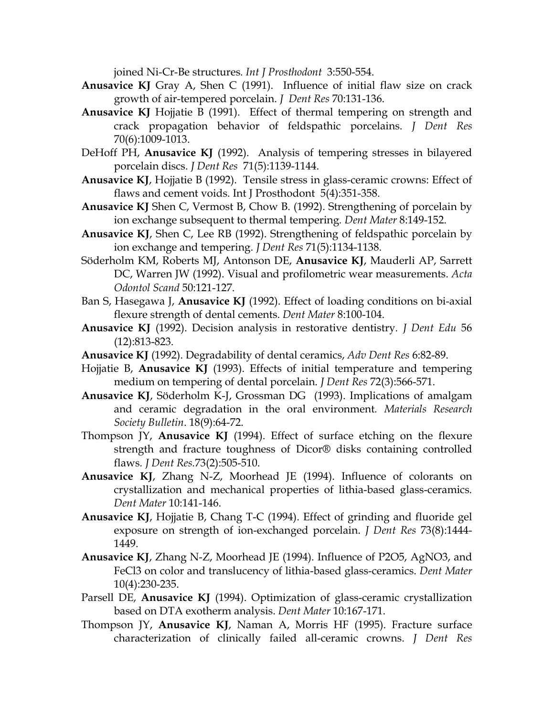joined Ni-Cr-Be structures*. Int J Prosthodont* 3:550-554.

- **Anusavice KJ** Gray A, Shen C (1991). Influence of initial flaw size on crack growth of air-tempered porcelain. *J Dent Res* 70:131-136.
- **Anusavice KJ** Hojjatie B (1991). Effect of thermal tempering on strength and crack propagation behavior of feldspathic porcelains. *J Dent Res* 70(6):1009-1013.
- DeHoff PH, **Anusavice KJ** (1992). Analysis of tempering stresses in bilayered porcelain discs. *J Dent Res* 71(5):1139-1144.
- **Anusavice KJ**, Hojjatie B (1992). Tensile stress in glass-ceramic crowns: Effect of flaws and cement voids. Int J Prosthodont 5(4):351-358.
- **Anusavice KJ** Shen C, Vermost B, Chow B. (1992). Strengthening of porcelain by ion exchange subsequent to thermal tempering*. Dent Mater* 8:149-152.
- **Anusavice KJ**, Shen C, Lee RB (1992). Strengthening of feldspathic porcelain by ion exchange and tempering. *J Dent Res* 71(5):1134-1138.
- Söderholm KM, Roberts MJ, Antonson DE, **Anusavice KJ**, Mauderli AP, Sarrett DC, Warren JW (1992). Visual and profilometric wear measurements. *Acta Odontol Scand* 50:121-127.
- Ban S, Hasegawa J, **Anusavice KJ** (1992). Effect of loading conditions on bi-axial flexure strength of dental cements. *Dent Mater* 8:100-104.
- **Anusavice KJ** (1992). Decision analysis in restorative dentistry*. J Dent Edu* 56 (12):813-823.
- **Anusavice KJ** (1992). Degradability of dental ceramics, *Adv Dent Res* 6:82-89.
- Hojjatie B, **Anusavice KJ** (1993). Effects of initial temperature and tempering medium on tempering of dental porcelain. *J Dent Res* 72(3):566-571.
- **Anusavice KJ**, Söderholm K-J, Grossman DG (1993). Implications of amalgam and ceramic degradation in the oral environment*. Materials Research Society Bulletin*. 18(9):64-72.
- Thompson JY, **Anusavice KJ** (1994). Effect of surface etching on the flexure strength and fracture toughness of Dicor® disks containing controlled flaws*. J Dent Res.*73(2):505-510.
- **Anusavice KJ**, Zhang N-Z, Moorhead JE (1994). Influence of colorants on crystallization and mechanical properties of lithia-based glass-ceramics*. Dent Mater* 10:141-146.
- **Anusavice KJ**, Hojjatie B, Chang T-C (1994). Effect of grinding and fluoride gel exposure on strength of ion-exchanged porcelain. *J Dent Res* 73(8):1444- 1449.
- **Anusavice KJ**, Zhang N-Z, Moorhead JE (1994). Influence of P2O5, AgNO3, and FeCl3 on color and translucency of lithia-based glass-ceramics. *Dent Mater* 10(4):230-235.
- Parsell DE, **Anusavice KJ** (1994). Optimization of glass-ceramic crystallization based on DTA exotherm analysis. *Dent Mater* 10:167-171.
- Thompson JY, **Anusavice KJ**, Naman A, Morris HF (1995). Fracture surface characterization of clinically failed all-ceramic crowns. *J Dent Res*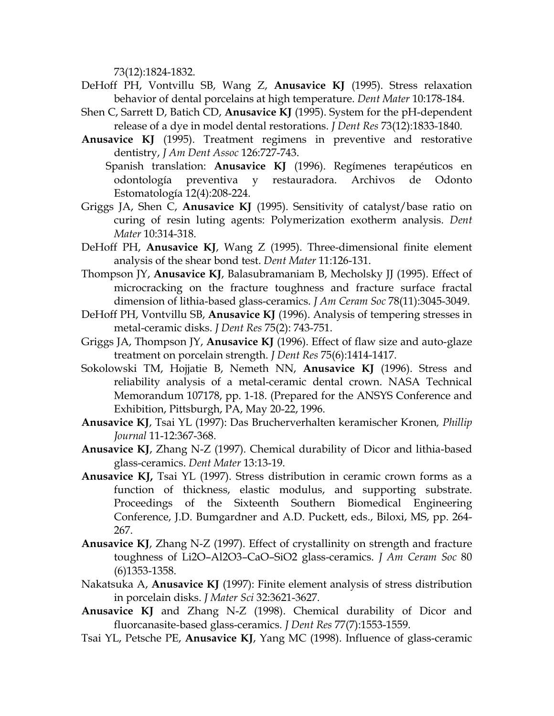73(12):1824-1832.

- DeHoff PH, Vontvillu SB, Wang Z, **Anusavice KJ** (1995). Stress relaxation behavior of dental porcelains at high temperature. *Dent Mater* 10:178-184.
- Shen C, Sarrett D, Batich CD, **Anusavice KJ** (1995). System for the pH-dependent release of a dye in model dental restorations. *J Dent Res* 73(12):1833-1840.
- **Anusavice KJ** (1995). Treatment regimens in preventive and restorative dentistry, *J Am Dent Assoc* 126:727-743.
	- Spanish translation: **Anusavice KJ** (1996). Regímenes terapéuticos en odontología preventiva y restauradora. Archivos de Odonto Estomatología 12(4):208-224.
- Griggs JA, Shen C, **Anusavice KJ** (1995). Sensitivity of catalyst/base ratio on curing of resin luting agents: Polymerization exotherm analysis. *Dent Mater* 10:314-318.
- DeHoff PH, **Anusavice KJ**, Wang Z (1995). Three-dimensional finite element analysis of the shear bond test. *Dent Mater* 11:126-131.
- Thompson JY, **Anusavice KJ**, Balasubramaniam B, Mecholsky JJ (1995). Effect of microcracking on the fracture toughness and fracture surface fractal dimension of lithia-based glass-ceramics. *J Am Ceram Soc* 78(11):3045-3049.
- DeHoff PH, Vontvillu SB, **Anusavice KJ** (1996). Analysis of tempering stresses in metal-ceramic disks. *J Dent Res* 75(2): 743-751.
- Griggs JA, Thompson JY, **Anusavice KJ** (1996). Effect of flaw size and auto-glaze treatment on porcelain strength. *J Dent Res* 75(6):1414-1417.
- Sokolowski TM, Hojjatie B, Nemeth NN, **Anusavice KJ** (1996). Stress and reliability analysis of a metal-ceramic dental crown. NASA Technical Memorandum 107178, pp. 1-18. (Prepared for the ANSYS Conference and Exhibition, Pittsburgh, PA, May 20-22, 1996.
- **Anusavice KJ**, Tsai YL (1997): Das Brucherverhalten keramischer Kronen*, Phillip Journal* 11-12:367-368.
- **Anusavice KJ**, Zhang N-Z (1997). Chemical durability of Dicor and lithia-based glass-ceramics. *Dent Mater* 13:13-19.
- **Anusavice KJ,** Tsai YL (1997). Stress distribution in ceramic crown forms as a function of thickness, elastic modulus, and supporting substrate. Proceedings of the Sixteenth Southern Biomedical Engineering Conference, J.D. Bumgardner and A.D. Puckett, eds., Biloxi, MS, pp. 264- 267.
- **Anusavice KJ**, Zhang N-Z (1997). Effect of crystallinity on strength and fracture toughness of Li2O–Al2O3–CaO–SiO2 glass-ceramics. *J Am Ceram Soc* 80 (6)1353-1358.
- Nakatsuka A, **Anusavice KJ** (1997): Finite element analysis of stress distribution in porcelain disks. *J Mater Sci* 32:3621-3627.
- **Anusavice KJ** and Zhang N-Z (1998). Chemical durability of Dicor and fluorcanasite-based glass-ceramics. *J Dent Res* 77(7):1553-1559.
- Tsai YL, Petsche PE, **Anusavice KJ**, Yang MC (1998). Influence of glass-ceramic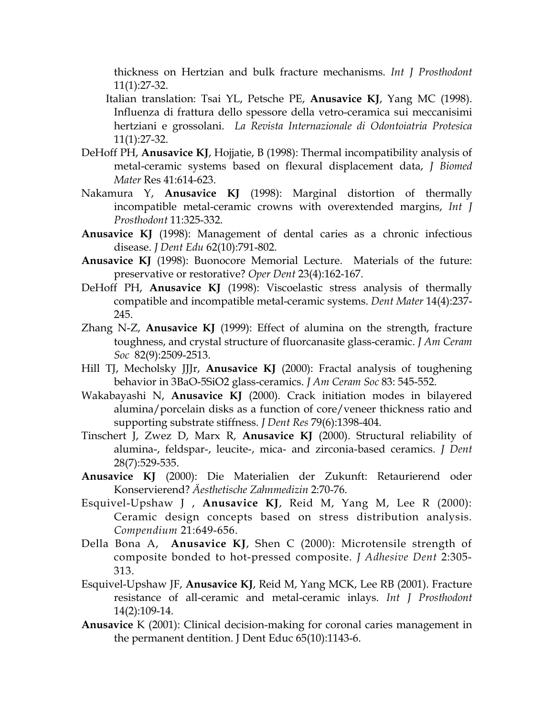thickness on Hertzian and bulk fracture mechanisms. *Int J Prosthodont* 11(1):27-32.

- Italian translation: Tsai YL, Petsche PE, **Anusavice KJ**, Yang MC (1998). Influenza di frattura dello spessore della vetro-ceramica sui meccanisimi hertziani e grossolani. *La Revista Internazionale di Odontoiatria Protesica* 11(1):27-32.
- DeHoff PH, **Anusavice KJ**, Hojjatie, B (1998): Thermal incompatibility analysis of metal-ceramic systems based on flexural displacement data, *J Biomed Mater* Res 41:614-623.
- Nakamura Y, **Anusavice KJ** (1998): Marginal distortion of thermally incompatible metal-ceramic crowns with overextended margins, *Int J Prosthodont* 11:325-332.
- **Anusavice KJ** (1998): Management of dental caries as a chronic infectious disease. *J Dent Edu* 62(10):791-802.
- **Anusavice KJ** (1998): Buonocore Memorial Lecture. Materials of the future: preservative or restorative? *Oper Dent* 23(4):162-167.
- DeHoff PH, **Anusavice KJ** (1998): Viscoelastic stress analysis of thermally compatible and incompatible metal-ceramic systems. *Dent Mater* 14(4):237- 245.
- Zhang N-Z, **Anusavice KJ** (1999): Effect of alumina on the strength, fracture toughness, and crystal structure of fluorcanasite glass-ceramic. *J Am Ceram Soc* 82(9):2509-2513.
- Hill TJ, Mecholsky JJJr, **Anusavice KJ** (2000): Fractal analysis of toughening behavior in 3BaO-5SiO2 glass-ceramics. *J Am Ceram Soc* 83: 545-552.
- Wakabayashi N, **Anusavice KJ** (2000). Crack initiation modes in bilayered alumina/porcelain disks as a function of core/veneer thickness ratio and supporting substrate stiffness. *J Dent Res* 79(6):1398-404.
- Tinschert J, Zwez D, Marx R, **Anusavice KJ** (2000). Structural reliability of alumina-, feldspar-, leucite-, mica- and zirconia-based ceramics. *J Dent* 28(7):529-535.
- **Anusavice KJ** (2000): Die Materialien der Zukunft: Retaurierend oder Konservierend? *Äesthetische Zahnmedizin* 2:70-76.
- Esquivel-Upshaw J , **Anusavice KJ**, Reid M, Yang M, Lee R (2000): Ceramic design concepts based on stress distribution analysis. *Compendium* 21:649-656.
- Della Bona A, **Anusavice KJ**, Shen C (2000): Microtensile strength of composite bonded to hot-pressed composite. *J Adhesive Dent* 2:305- 313.
- Esquivel-Upshaw JF, **Anusavice KJ**, Reid M, Yang MCK, Lee RB (2001). Fracture resistance of all-ceramic and metal-ceramic inlays. *Int J Prosthodont* 14(2):109-14.
- **Anusavice** K (2001): Clinical decision-making for coronal caries management in the permanent dentition. J Dent Educ 65(10):1143-6.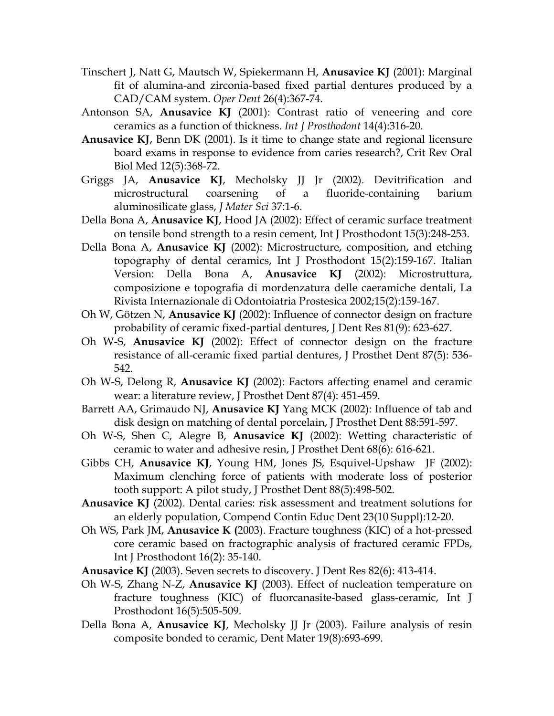- Tinschert J, Natt G, Mautsch W, Spiekermann H, **Anusavice KJ** (2001): Marginal fit of alumina-and zirconia-based fixed partial dentures produced by a CAD/CAM system. *Oper Dent* 26(4):367-74.
- Antonson SA, **Anusavice KJ** (2001): Contrast ratio of veneering and core ceramics as a function of thickness. *Int J Prosthodont* 14(4):316-20.
- **Anusavice KJ**, Benn DK (2001). Is it time to change state and regional licensure board exams in response to evidence from caries research?, Crit Rev Oral Biol Med 12(5):368-72.
- Griggs JA, **Anusavice KJ**, Mecholsky JJ Jr (2002). Devitrification and microstructural coarsening of a fluoride-containing barium aluminosilicate glass, *J Mater Sci* 37:1-6.
- Della Bona A, **Anusavice KJ**, Hood JA (2002): Effect of ceramic surface treatment on tensile bond strength to a resin cement, Int J Prosthodont 15(3):248-253.
- Della Bona A, **Anusavice KJ** (2002): Microstructure, composition, and etching topography of dental ceramics, Int J Prosthodont 15(2):159-167. Italian Version: Della Bona A, **Anusavice KJ** (2002): Microstruttura, composizione e topografia di mordenzatura delle caeramiche dentali, La Rivista Internazionale di Odontoiatria Prostesica 2002;15(2):159-167.
- Oh W, Götzen N, **Anusavice KJ** (2002): Influence of connector design on fracture probability of ceramic fixed-partial dentures, J Dent Res 81(9): 623-627.
- Oh W-S, **Anusavice KJ** (2002): Effect of connector design on the fracture resistance of all-ceramic fixed partial dentures, J Prosthet Dent 87(5): 536- 542.
- Oh W-S, Delong R, **Anusavice KJ** (2002): Factors affecting enamel and ceramic wear: a literature review, J Prosthet Dent 87(4): 451-459.
- Barrett AA, Grimaudo NJ, **Anusavice KJ** Yang MCK (2002): Influence of tab and disk design on matching of dental porcelain, J Prosthet Dent 88:591-597.
- Oh W-S, Shen C, Alegre B, **Anusavice KJ** (2002): Wetting characteristic of ceramic to water and adhesive resin, J Prosthet Dent 68(6): 616-621.
- Gibbs CH, **Anusavice KJ**, Young HM, Jones JS, Esquivel-Upshaw JF (2002): Maximum clenching force of patients with moderate loss of posterior tooth support: A pilot study, J Prosthet Dent 88(5):498-502.
- **Anusavice KJ** (2002). Dental caries: risk assessment and treatment solutions for an elderly population, Compend Contin Educ Dent 23(10 Suppl):12-20.
- Oh WS, Park JM, **Anusavice K (**2003). Fracture toughness (KIC) of a hot-pressed core ceramic based on fractographic analysis of fractured ceramic FPDs, Int J Prosthodont 16(2): 35-140.
- **Anusavice KJ** (2003). Seven secrets to discovery. J Dent Res 82(6): 413-414.
- Oh W-S, Zhang N-Z, **Anusavice KJ** (2003). Effect of nucleation temperature on fracture toughness (KIC) of fluorcanasite-based glass-ceramic, Int J Prosthodont 16(5):505-509.
- Della Bona A, **Anusavice KJ**, Mecholsky JJ Jr (2003). Failure analysis of resin composite bonded to ceramic, Dent Mater 19(8):693-699.